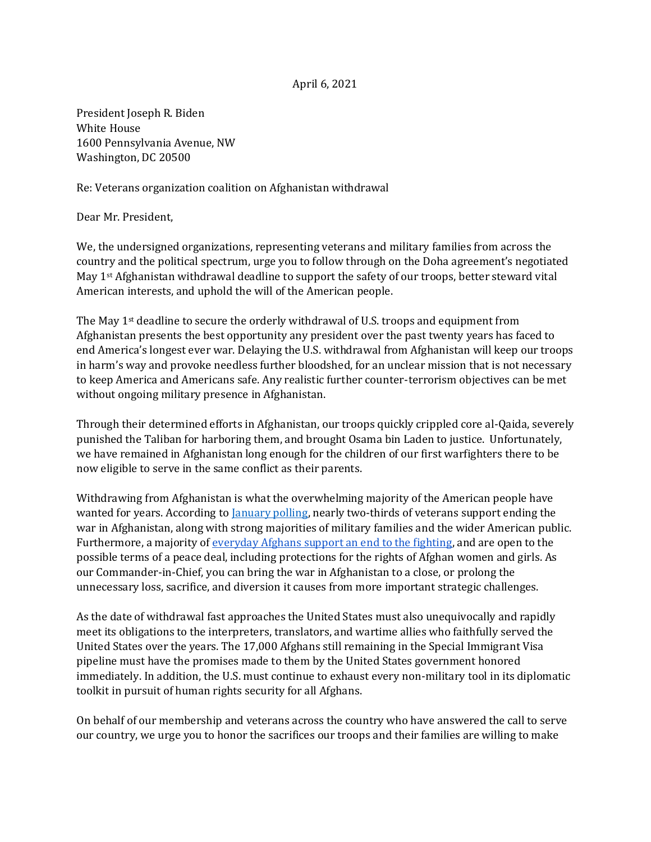## April 6, 2021

President Joseph R. Biden White House 1600 Pennsylvania Avenue, NW Washington, DC 20500

Re: Veterans organization coalition on Afghanistan withdrawal

Dear Mr. President,

We, the undersigned organizations, representing veterans and military families from across the country and the political spectrum, urge you to follow through on the Doha agreement's negotiated May 1st Afghanistan withdrawal deadline to support the safety of our troops, better steward vital American interests, and uphold the will of the American people.

The May 1st deadline to secure the orderly withdrawal of U.S. troops and equipment from Afghanistan presents the best opportunity any president over the past twenty years has faced to end America's longest ever war. Delaying the U.S. withdrawal from Afghanistan will keep our troops in harm's way and provoke needless further bloodshed, for an unclear mission that is not necessary to keep America and Americans safe. Any realistic further counter-terrorism objectives can be met without ongoing military presence in Afghanistan.

Through their determined efforts in Afghanistan, our troops quickly crippled core al-Qaida, severely punished the Taliban for harboring them, and brought Osama bin Laden to justice. Unfortunately, we have remained in Afghanistan long enough for the children of our first warfighters there to be now eligible to serve in the same conflict as their parents.

Withdrawing from Afghanistan is what the overwhelming majority of the American people have wanted for years. According to <u>January polling</u>, nearly two-thirds of veterans support ending the war in Afghanistan, along with strong majorities of military families and the wider American public. Furthermore, a majority of [everyday Afghans support an end to the fighting,](https://www.washingtonpost.com/politics/2021/03/30/afghans-want-peace-new-data-show-theyre-open-surprising-number-options/) and are open to the possible terms of a peace deal, including protections for the rights of Afghan women and girls. As our Commander-in-Chief, you can bring the war in Afghanistan to a close, or prolong the unnecessary loss, sacrifice, and diversion it causes from more important strategic challenges.

As the date of withdrawal fast approaches the United States must also unequivocally and rapidly meet its obligations to the interpreters, translators, and wartime allies who faithfully served the United States over the years. The 17,000 Afghans still remaining in the Special Immigrant Visa pipeline must have the promises made to them by the United States government honored immediately. In addition, the U.S. must continue to exhaust every non-military tool in its diplomatic toolkit in pursuit of human rights security for all Afghans.

On behalf of our membership and veterans across the country who have answered the call to serve our country, we urge you to honor the sacrifices our troops and their families are willing to make